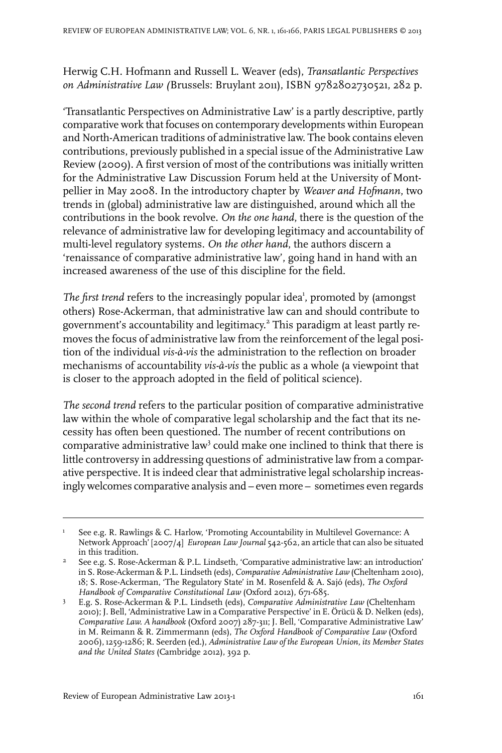Herwig C.H. Hofmann and Russell L. Weaver (eds), *Transatlantic Perspectives on Administrative Law (*Brussels: Bruylant 2011), ISBN 9782802730521, 282 p.

'Transatlantic Perspectives on Administrative Law' is a partly descriptive, partly comparative work that focuses on contemporary developments within European and North-American traditions of administrative law. The book contains eleven contributions, previously published in a special issue of the Administrative Law Review (2009). A first version of most of the contributions was initially written for the Administrative Law Discussion Forum held at the University of Montpellier in May 2008. In the introductory chapter by *Weaver and Hofmann*, two trends in (global) administrative law are distinguished, around which all the contributions in the book revolve. *On the one hand*, there is the question of the relevance of administrative law for developing legitimacy and accountability of multi-level regulatory systems. *On the other hand*, the authors discern a 'renaissance of comparative administrative law', going hand in hand with an increased awareness of the use of this discipline for the field.

The first trend refers to the increasingly popular idea<sup>1</sup>, promoted by (amongst others) Rose-Ackerman, that administrative law can and should contribute to government's accountability and legitimacy. 2 This paradigm at least partly removes the focus of administrative law from the reinforcement of the legal position of the individual *vis-à-vis* the administration to the reflection on broader mechanisms of accountability *vis-à-vis* the public as a whole (a viewpoint that is closer to the approach adopted in the field of political science).

*The second trend* refers to the particular position of comparative administrative law within the whole of comparative legal scholarship and the fact that its necessity has often been questioned. The number of recent contributions on comparative administrative law<sup>3</sup> could make one inclined to think that there is little controversy in addressing questions of administrative law from a comparative perspective. It is indeed clear that administrative legal scholarship increasingly welcomes comparative analysis and – even more – sometimes even regards

See e.g. R. Rawlings & C. Harlow, 'Promoting Accountability in Multilevel Governance: A Network Approach' [2007/4] *European Law Journal* 542-562, an article that can also be situated in this tradition. 1

 $\textsuperscript{2}$  See e.g. S. Rose-Ackerman & P.L. Lindseth, 'Comparative administrative law: an introduction' in S. Rose-Ackerman & P.L. Lindseth (eds), *Comparative Administrative Law* (Cheltenham 2010), 18; S. Rose-Ackerman, 'The Regulatory State' in M. Rosenfeld & A. Sajó (eds), *The Oxford Handbook of Comparative Constitutional Law* (Oxford 2012), 671-685.

E.g. S. Rose-Ackerman & P.L. Lindseth (eds), *Comparative Administrative Law* (Cheltenham 3 2010); J. Bell, 'Administrative Law in a Comparative Perspective' in E. Örücü & D. Nelken (eds), *Comparative Law. A handbook* (Oxford 2007) 287-311; J. Bell, 'Comparative Administrative Law' in M. Reimann & R. Zimmermann (eds), *The Oxford Handbook of Comparative Law* (Oxford 2006), 1259-1286; R. Seerden (ed.), *Administrative Law of the European Union, its Member States and the United States* (Cambridge 2012), 392 p.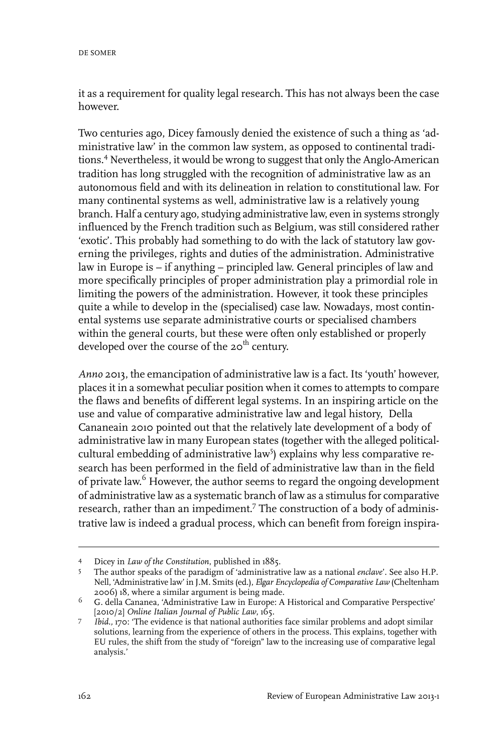it as a requirement for quality legal research. This has not always been the case however.

Two centuries ago, Dicey famously denied the existence of such a thing as 'administrative law' in the common law system, as opposed to continental traditions.<sup>4</sup> Nevertheless, it would be wrong to suggest that only the Anglo-American tradition has long struggled with the recognition of administrative law as an autonomous field and with its delineation in relation to constitutional law. For many continental systems as well, administrative law is a relatively young branch. Half a century ago, studying administrative law, even in systems strongly influenced by the French tradition such as Belgium, was still considered rather 'exotic'. This probably had something to do with the lack of statutory law governing the privileges, rights and duties of the administration. Administrative law in Europe is – if anything – principled law. General principles of law and more specifically principles of proper administration play a primordial role in limiting the powers of the administration. However, it took these principles quite a while to develop in the (specialised) case law. Nowadays, most continental systems use separate administrative courts or specialised chambers within the general courts, but these were often only established or properly developed over the course of the  $20<sup>th</sup>$  century.

*Anno* 2013, the emancipation of administrative law is a fact. Its 'youth' however, places it in a somewhat peculiar position when it comes to attempts to compare the flaws and benefits of different legal systems. In an inspiring article on the use and value of comparative administrative law and legal history, Della Cananeain 2010 pointed out that the relatively late development of a body of administrative law in many European states (together with the alleged politicalcultural embedding of administrative law<sup>5</sup>) explains why less comparative research has been performed in the field of administrative law than in the field of private law.<sup>6</sup> However, the author seems to regard the ongoing development of administrative law as a systematic branch of law as a stimulus for comparative research, rather than an impediment.<sup>7</sup> The construction of a body of administrative law is indeed a gradual process, which can benefit from foreign inspira-

Dicey in *Law of the Constitution*, published in 1885. <sup>4</sup>

The author speaks of the paradigm of 'administrative law as a national *enclave*'. See also H.P. Nell, 'Administrative law' in J.M. Smits (ed.), *Elgar Encyclopedia of Comparative Law* (Cheltenham 2006) 18, where a similar argument is being made. 5

<sup>&</sup>lt;sup>6</sup> G. della Cananea, 'Administrative Law in Europe: A Historical and Comparative Perspective' [2010/2] *Online Italian Journal of Public Law*, 165.

*Ibid.,* 170: 'The evidence is that national authorities face similar problems and adopt similar solutions, learning from the experience of others in the process. This explains, together with 7 EU rules, the shift from the study of "foreign" law to the increasing use of comparative legal analysis.'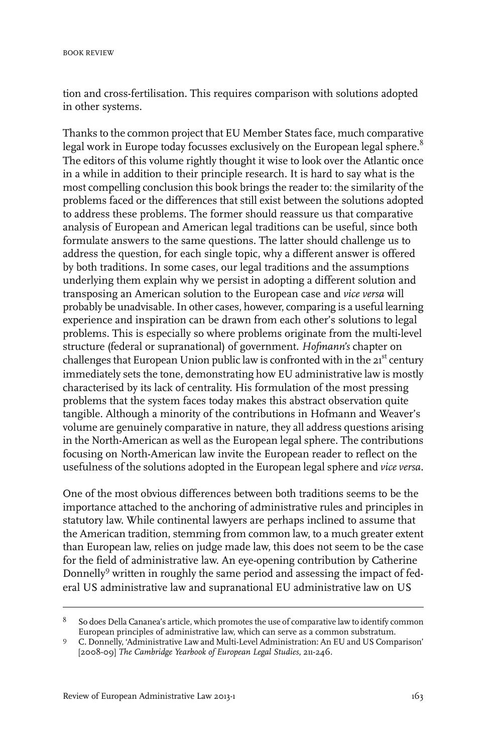tion and cross-fertilisation. This requires comparison with solutions adopted in other systems.

Thanks to the common project that EU Member States face, much comparative legal work in Europe today focusses exclusively on the European legal sphere.<sup>8</sup> The editors of this volume rightly thought it wise to look over the Atlantic once in a while in addition to their principle research. It is hard to say what is the most compelling conclusion this book brings the reader to: the similarity of the problems faced or the differences that still exist between the solutions adopted to address these problems. The former should reassure us that comparative analysis of European and American legal traditions can be useful, since both formulate answers to the same questions. The latter should challenge us to address the question, for each single topic, why a different answer is offered by both traditions. In some cases, our legal traditions and the assumptions underlying them explain why we persist in adopting a different solution and transposing an American solution to the European case and *vice versa* will probably be unadvisable.In other cases, however, comparing is a useful learning experience and inspiration can be drawn from each other's solutions to legal problems. This is especially so where problems originate from the multi-level structure (federal or supranational) of government. *Hofmann's* chapter on challenges that European Union public law is confronted with in the 21<sup>st</sup> century immediately sets the tone, demonstrating how EU administrative law is mostly characterised by its lack of centrality. His formulation of the most pressing problems that the system faces today makes this abstract observation quite tangible. Although a minority of the contributions in Hofmann and Weaver's volume are genuinely comparative in nature, they all address questions arising in the North-American as well as the European legal sphere. The contributions focusing on North-American law invite the European reader to reflect on the usefulness of the solutions adopted in the European legal sphere and *vice versa*.

One of the most obvious differences between both traditions seems to be the importance attached to the anchoring of administrative rules and principles in statutory law. While continental lawyers are perhaps inclined to assume that the American tradition, stemming from common law, to a much greater extent than European law, relies on judge made law, this does not seem to be the case for the field of administrative law. An eye-opening contribution by Catherine Donnelly<sup>9</sup> written in roughly the same period and assessing the impact of federal US administrative law and supranational EU administrative law on US

So does Della Cananea's article, which promotes the use of comparative law to identify common European principles of administrative law, which can serve as a common substratum. 8

C. Donnelly, 'Administrative Law and Multi-Level Administration: An EU and US Comparison' [2008-09] *The Cambridge Yearbook of European Legal Studies*, 211-246. 9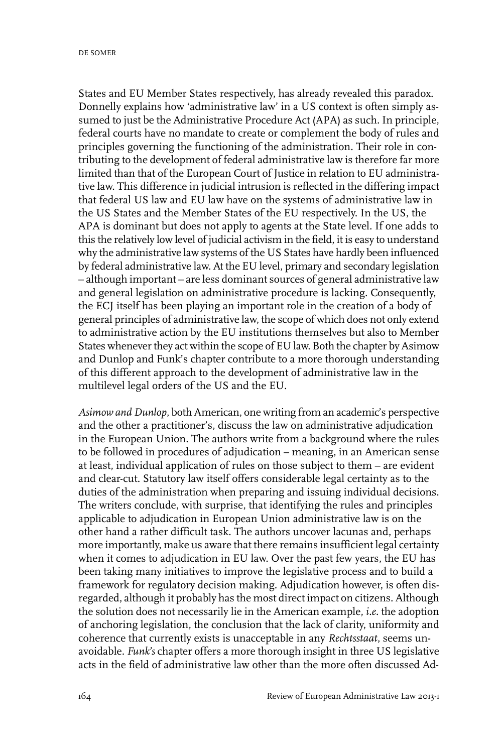States and EU Member States respectively, has already revealed this paradox. Donnelly explains how 'administrative law' in a US context is often simply assumed to just be the Administrative Procedure Act (APA) as such. In principle, federal courts have no mandate to create or complement the body of rules and principles governing the functioning of the administration. Their role in contributing to the development of federal administrative law is therefore far more limited than that of the European Court of Justice in relation to EU administrative law. This difference in judicial intrusion is reflected in the differing impact that federal US law and EU law have on the systems of administrative law in the US States and the Member States of the EU respectively. In the US, the APA is dominant but does not apply to agents at the State level. If one adds to this the relatively low level of judicial activism in the field, it is easy to understand why the administrative law systems of the US States have hardly been influenced by federal administrative law. At the EU level, primary and secondary legislation – although important – are less dominant sources of general administrative law and general legislation on administrative procedure is lacking. Consequently, the ECJ itself has been playing an important role in the creation of a body of general principles of administrative law, the scope of which does not only extend to administrative action by the EU institutions themselves but also to Member States whenever they act within the scope of EU law. Both the chapter by Asimow and Dunlop and Funk's chapter contribute to a more thorough understanding of this different approach to the development of administrative law in the multilevel legal orders of the US and the EU.

*Asimow and Dunlop*, both American, one writing from an academic's perspective and the other a practitioner's, discuss the law on administrative adjudication in the European Union. The authors write from a background where the rules to be followed in procedures of adjudication – meaning, in an American sense at least, individual application of rules on those subject to them – are evident and clear-cut. Statutory law itself offers considerable legal certainty as to the duties of the administration when preparing and issuing individual decisions. The writers conclude, with surprise, that identifying the rules and principles applicable to adjudication in European Union administrative law is on the other hand a rather difficult task. The authors uncover lacunas and, perhaps more importantly, make us aware that there remains insufficient legal certainty when it comes to adjudication in EU law. Over the past few years, the EU has been taking many initiatives to improve the legislative process and to build a framework for regulatory decision making. Adjudication however, is often disregarded, although it probably has the most direct impact on citizens. Although the solution does not necessarily lie in the American example, *i.e.* the adoption of anchoring legislation, the conclusion that the lack of clarity, uniformity and coherence that currently exists is unacceptable in any *Rechtsstaat*, seems unavoidable. *Funk's* chapter offers a more thorough insight in three US legislative acts in the field of administrative law other than the more often discussed Ad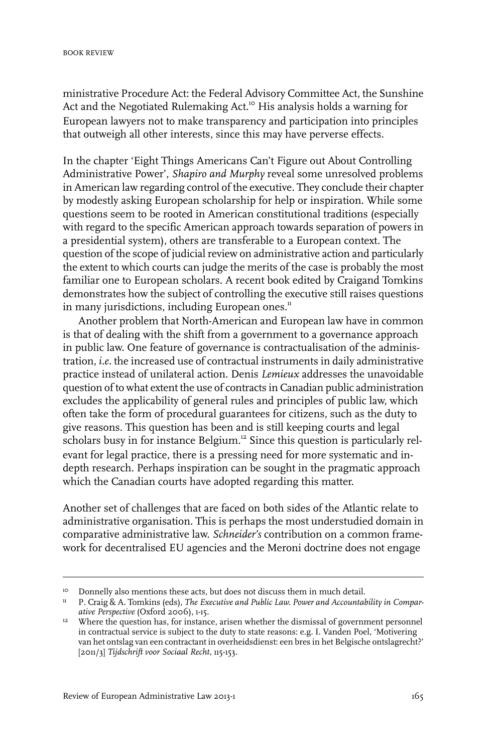ministrative Procedure Act: the Federal Advisory Committee Act, the Sunshine Act and the Negotiated Rulemaking Act.<sup>10</sup> His analysis holds a warning for European lawyers not to make transparency and participation into principles that outweigh all other interests, since this may have perverse effects.

In the chapter 'Eight Things Americans Can't Figure out About Controlling Administrative Power', *Shapiro and Murphy* reveal some unresolved problems in American law regarding control of the executive. They conclude their chapter by modestly asking European scholarship for help or inspiration. While some questions seem to be rooted in American constitutional traditions (especially with regard to the specific American approach towards separation of powers in a presidential system), others are transferable to a European context. The question of the scope of judicial review on administrative action and particularly the extent to which courts can judge the merits of the case is probably the most familiar one to European scholars. A recent book edited by Craigand Tomkins demonstrates how the subject of controlling the executive still raises questions in many jurisdictions, including European ones.<sup>11</sup>

Another problem that North-American and European law have in common is that of dealing with the shift from a government to a governance approach in public law. One feature of governance is contractualisation of the administration, *i.e.* the increased use of contractual instruments in daily administrative practice instead of unilateral action. Denis *Lemieux* addresses the unavoidable question of to what extent the use of contracts in Canadian public administration excludes the applicability of general rules and principles of public law, which often take the form of procedural guarantees for citizens, such as the duty to give reasons. This question has been and is still keeping courts and legal scholars busy in for instance Belgium.<sup>12</sup> Since this question is particularly relevant for legal practice, there is a pressing need for more systematic and indepth research. Perhaps inspiration can be sought in the pragmatic approach which the Canadian courts have adopted regarding this matter.

Another set of challenges that are faced on both sides of the Atlantic relate to administrative organisation. This is perhaps the most understudied domain in comparative administrative law. *Schneider's* contribution on a common framework for decentralised EU agencies and the Meroni doctrine does not engage

<sup>&</sup>lt;sup>10</sup> Donnelly also mentions these acts, but does not discuss them in much detail.

P. Craig & A. Tomkins (eds), *The Executive and Public Law. Power and Accountability in Compar-*11 *ative Perspective* (Oxford 2006), 1-15.

<sup>&</sup>lt;sup>12</sup> Where the question has, for instance, arisen whether the dismissal of government personnel in contractual service is subject to the duty to state reasons: e.g. I. Vanden Poel, 'Motivering van het ontslag van een contractant in overheidsdienst: een bres in het Belgische ontslagrecht?' [2011/3] *Tijdschrift voor Sociaal Recht*, 115-153.